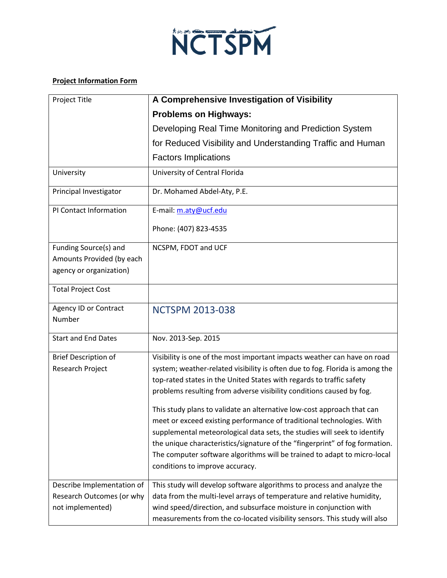

## **Project Information Form**

| Project Title                | A Comprehensive Investigation of Visibility                                                                                                  |
|------------------------------|----------------------------------------------------------------------------------------------------------------------------------------------|
|                              | <b>Problems on Highways:</b>                                                                                                                 |
|                              | Developing Real Time Monitoring and Prediction System                                                                                        |
|                              | for Reduced Visibility and Understanding Traffic and Human                                                                                   |
|                              | <b>Factors Implications</b>                                                                                                                  |
| University                   | University of Central Florida                                                                                                                |
| Principal Investigator       | Dr. Mohamed Abdel-Aty, P.E.                                                                                                                  |
| PI Contact Information       | E-mail: m.aty@ucf.edu                                                                                                                        |
|                              | Phone: (407) 823-4535                                                                                                                        |
| Funding Source(s) and        | NCSPM, FDOT and UCF                                                                                                                          |
| Amounts Provided (by each    |                                                                                                                                              |
| agency or organization)      |                                                                                                                                              |
| <b>Total Project Cost</b>    |                                                                                                                                              |
| <b>Agency ID or Contract</b> | <b>NCTSPM 2013-038</b>                                                                                                                       |
| Number                       |                                                                                                                                              |
| <b>Start and End Dates</b>   | Nov. 2013-Sep. 2015                                                                                                                          |
| <b>Brief Description of</b>  | Visibility is one of the most important impacts weather can have on road                                                                     |
| Research Project             | system; weather-related visibility is often due to fog. Florida is among the                                                                 |
|                              | top-rated states in the United States with regards to traffic safety<br>problems resulting from adverse visibility conditions caused by fog. |
|                              | This study plans to validate an alternative low-cost approach that can                                                                       |
|                              | meet or exceed existing performance of traditional technologies. With                                                                        |
|                              | supplemental meteorological data sets, the studies will seek to identify                                                                     |
|                              | the unique characteristics/signature of the "fingerprint" of fog formation.                                                                  |
|                              | The computer software algorithms will be trained to adapt to micro-local                                                                     |
|                              | conditions to improve accuracy.                                                                                                              |
| Describe Implementation of   | This study will develop software algorithms to process and analyze the                                                                       |
| Research Outcomes (or why    | data from the multi-level arrays of temperature and relative humidity,                                                                       |
| not implemented)             | wind speed/direction, and subsurface moisture in conjunction with                                                                            |
|                              | measurements from the co-located visibility sensors. This study will also                                                                    |